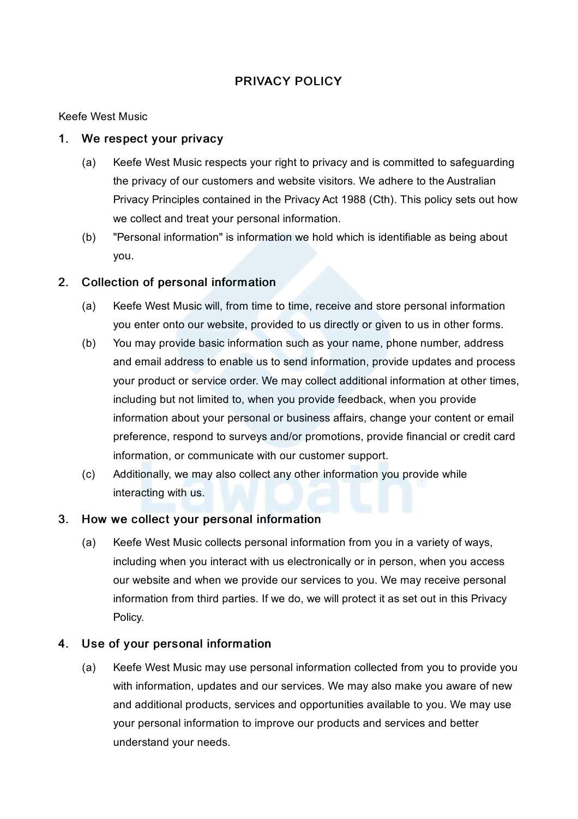# PRIVACY POLICY

#### Keefe West Music

#### 1. We respect your privacy

- (a) Keefe West Music respects your right to privacy and is committed to safeguarding the privacy of our customers and website visitors. We adhere to the Australian Privacy Principles contained in the Privacy Act 1988 (Cth). This policy sets out how we collect and treat your personal information.
- (b) "Personal information" is information we hold which is identifiable as being about you.

## 2. Collection of personal information

- (a) Keefe West Music will, from time to time, receive and store personal information you enter onto our website, provided to us directly or given to us in other forms.
- (b) You may provide basic information such as your name, phone number, address and email address to enable us to send information, provide updates and process your product or service order. We may collect additional information at other times, including but not limited to, when you provide feedback, when you provide information about your personal or business affairs, change your content or email preference, respond to surveys and/or promotions, provide financial or credit card information, or communicate with our customer support.
- (c) Additionally, we may also collect any other information you provide while interacting with us.

#### 3. How we collect your personal information

(a) Keefe West Music collects personal information from you in a variety of ways, including when you interact with us electronically or in person, when you access our website and when we provide our services to you. We may receive personal information from third parties. If we do, we will protect it as set out in this Privacy Policy.

## 4. Use of your personal information

(a) Keefe West Music may use personal information collected from you to provide you with information, updates and our services. We may also make you aware of new and additional products, services and opportunities available to you. We may use your personal information to improve our products and services and better understand your needs.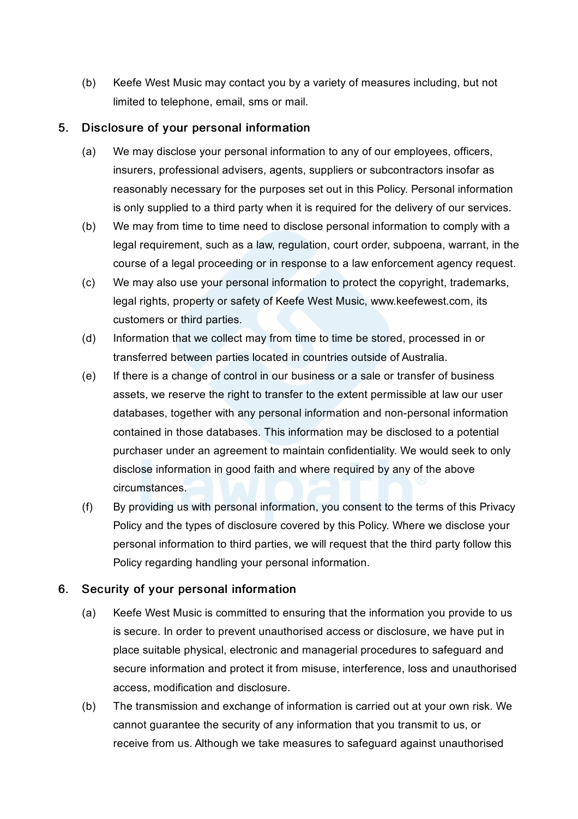(b) Keefe West Music may contact you by a variety of measures including, but not limited to telephone, email, sms or mail.

## 5. Disclosure of your personal information

- (a) We may disclose your personal information to any of our employees, officers, insurers, professional advisers, agents, suppliers or subcontractors insofar as reasonably necessary for the purposes set out in this Policy. Personal information is only supplied to a third party when it is required for the delivery of our services.
- (b) We may from time to time need to disclose personal information to comply with a legal requirement, such as a law, regulation, court order, subpoena, warrant, in the course of a legal proceeding or in response to a law enforcement agency request.
- (c) We may also use your personal information to protect the copyright, trademarks, legal rights, property or safety of Keefe West Music, www.keefewest.com, its customers or third parties.
- (d) Information that we collect may from time to time be stored, processed in or transferred between parties located in countries outside of Australia.
- (e) If there is a change of control in our business or a sale or transfer of business assets, we reserve the right to transfer to the extent permissible at law our user databases, together with any personal information and non-personal information contained in those databases. This information may be disclosed to a potential purchaser under an agreement to maintain confidentiality. We would seek to only disclose information in good faith and where required by any of the above circumstances.
- (f) By providing us with personal information, you consent to the terms of this Privacy Policy and the types of disclosure covered by this Policy. Where we disclose your personal information to third parties, we will request that the third party follow this Policy regarding handling your personal information.

## 6. Security of your personal information

- (a) Keefe West Music is committed to ensuring that the information you provide to us is secure. In order to prevent unauthorised access or disclosure, we have put in place suitable physical, electronic and managerial procedures to safeguard and secure information and protect it from misuse, interference, loss and unauthorised access, modification and disclosure.
- (b) The transmission and exchange of information is carried out at your own risk. We cannot guarantee the security of any information that you transmit to us, or receive from us. Although we take measures to safeguard against unauthorised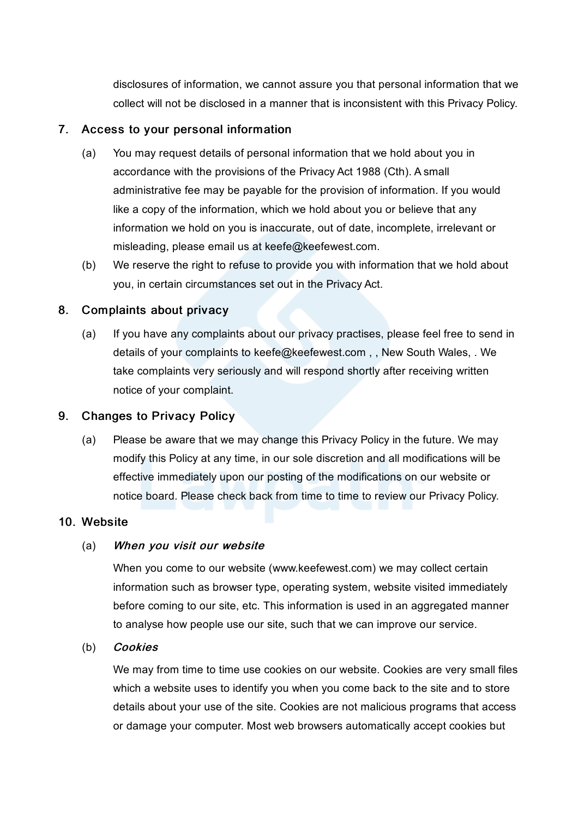disclosures of information, we cannot assure you that personal information that we collect will not be disclosed in a manner that is inconsistent with this Privacy Policy.

#### 7. Access to your personal information

- (a) You may request details of personal information that we hold about you in accordance with the provisions of the Privacy Act 1988 (Cth). A small administrative fee may be payable for the provision of information. If you would like a copy of the information, which we hold about you or believe that any information we hold on you is inaccurate, out of date, incomplete, irrelevant or misleading, please email us at keefe@keefewest.com.
- (b) We reserve the right to refuse to provide you with information that we hold about you, in certain circumstances set out in the Privacy Act.

## 8. Complaints about privacy

(a) If you have any complaints about our privacy practises, please feel free to send in details of your complaints to keefe@keefewest.com , , New South Wales, . We take complaints very seriously and will respond shortly after receiving written notice of your complaint.

## 9. Changes to Privacy Policy

(a) Please be aware that we may change this Privacy Policy in the future. We may modify this Policy at any time, in our sole discretion and all modifications will be effective immediately upon our posting of the modifications on our website or notice board. Please check back from time to time to review our Privacy Policy.

#### 10. Website

#### (a) When you visit our website

When you come to our website (www.keefewest.com) we may collect certain information such as browser type, operating system, website visited immediately before coming to our site, etc. This information is used in an aggregated manner to analyse how people use our site, such that we can improve our service.

#### (b) Cookies

We may from time to time use cookies on our website. Cookies are very small files which a website uses to identify you when you come back to the site and to store details about your use of the site. Cookies are not malicious programs that access or damage your computer. Most web browsers automatically accept cookies but